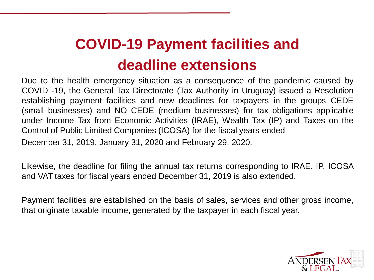## **COVID-19 Payment facilities and deadline extensions**

Due to the health emergency situation as a consequence of the pandemic caused by COVID -19, the General Tax Directorate (Tax Authority in Uruguay) issued a Resolution establishing payment facilities and new deadlines for taxpayers in the groups CEDE (small businesses) and NO CEDE (medium businesses) for tax obligations applicable under Income Tax from Economic Activities (IRAE), Wealth Tax (IP) and Taxes on the Control of Public Limited Companies (ICOSA) for the fiscal years ended December 31, 2019, January 31, 2020 and February 29, 2020.

Likewise, the deadline for filing the annual tax returns corresponding to IRAE, IP, ICOSA and VAT taxes for fiscal years ended December 31, 2019 is also extended.

Payment facilities are established on the basis of sales, services and other gross income, that originate taxable income, generated by the taxpayer in each fiscal year.

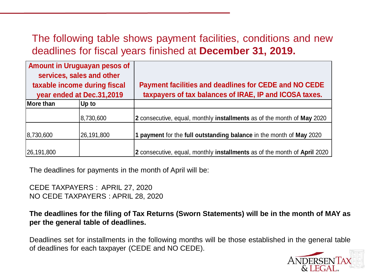## The following table shows payment facilities, conditions and new deadlines for fiscal years finished at **December 31, 2019.**

| <b>Amount in Uruguayan pesos of</b><br>services, sales and other<br>taxable income during fiscal<br>year ended at Dec.31,2019 |            | Payment facilities and deadlines for CEDE and NO CEDE<br>taxpayers of tax balances of IRAE, IP and ICOSA taxes. |
|-------------------------------------------------------------------------------------------------------------------------------|------------|-----------------------------------------------------------------------------------------------------------------|
| More than                                                                                                                     | Up to      |                                                                                                                 |
|                                                                                                                               | 8,730,600  | 2 consecutive, equal, monthly installments as of the month of May 2020                                          |
| 8,730,600                                                                                                                     | 26,191,800 | 1 payment for the full outstanding balance in the month of May 2020                                             |
| 26,191,800                                                                                                                    |            | 2 consecutive, equal, monthly installments as of the month of April 2020                                        |

The deadlines for payments in the month of April will be:

CEDE TAXPAYERS : APRIL 27, 2020 NO CEDE TAXPAYERS : APRIL 28, 2020

**The deadlines for the filing of Tax Returns (Sworn Statements) will be in the month of MAY as per the general table of deadlines.**

Deadlines set for installments in the following months will be those established in the general table of deadlines for each taxpayer (CEDE and NO CEDE).

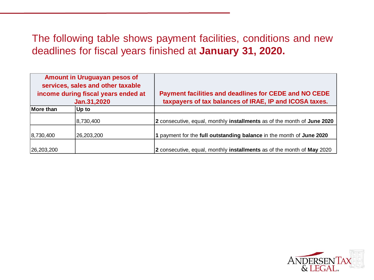## The following table shows payment facilities, conditions and new deadlines for fiscal years finished at **January 31, 2020.**

| Amount in Uruguayan pesos of<br>services, sales and other taxable<br>income during fiscal years ended at<br>Jan.31,2020 |            | Payment facilities and deadlines for CEDE and NO CEDE<br>taxpayers of tax balances of IRAE, IP and ICOSA taxes. |
|-------------------------------------------------------------------------------------------------------------------------|------------|-----------------------------------------------------------------------------------------------------------------|
| More than                                                                                                               | Up to      |                                                                                                                 |
|                                                                                                                         | 8,730,400  | 2 consecutive, equal, monthly installments as of the month of June 2020                                         |
| 8,730,400                                                                                                               | 26,203,200 | 1 payment for the full outstanding balance in the month of June 2020                                            |
| 26,203,200                                                                                                              |            | 2 consecutive, equal, monthly installments as of the month of May 2020                                          |